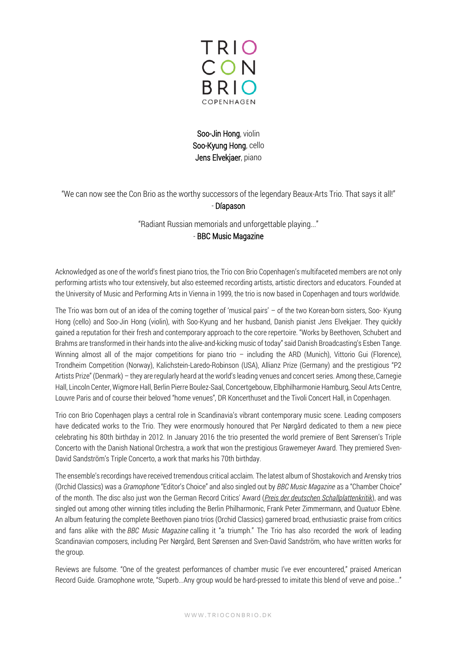

Soo-Jin Hong, violin Soo-Kyung Hong, cello Jens Elvekjaer, piano

"We can now see the Con Brio as the worthy successors of the legendary Beaux-Arts Trio. That says it all!" - Díapason

"Radiant Russian memorials and unforgettable playing..."

## - BBC Music Magazine

Acknowledged as one of the world's finest piano trios, the Trio con Brio Copenhagen's multifaceted members are not only performing artists who tour extensively, but also esteemed recording artists, artistic directors and educators. Founded at the University of Music and Performing Arts in Vienna in 1999, the trio is now based in Copenhagen and tours worldwide.

The Trio was born out of an idea of the coming together of 'musical pairs' – of the two Korean-born sisters, Soo- Kyung Hong (cello) and Soo-Jin Hong (violin), with Soo-Kyung and her husband, Danish pianist Jens Elvekjaer. They quickly gained a reputation for their fresh and contemporary approach to the core repertoire. "Works by Beethoven, Schubert and Brahms are transformed in their hands into the alive-and-kicking music of today" said Danish Broadcasting's Esben Tange. Winning almost all of the major competitions for piano trio – including the ARD (Munich), Vittorio Gui (Florence), Trondheim Competition (Norway), Kalichstein-Laredo-Robinson (USA), Allianz Prize (Germany) and the prestigious "P2 Artists Prize" (Denmark) – they are regularly heard at the world's leading venues and concert series. Among these, Carnegie Hall, Lincoln Center, Wigmore Hall, Berlin Pierre Boulez-Saal, Concertgebouw, Elbphilharmonie Hamburg, Seoul Arts Centre, Louvre Paris and of course their beloved "home venues", DR Koncerthuset and the Tivoli Concert Hall, in Copenhagen.

Trio con Brio Copenhagen plays a central role in Scandinavia's vibrant contemporary music scene. Leading composers have dedicated works to the Trio. They were enormously honoured that Per Nørgård dedicated to them a new piece celebrating his 80th birthday in 2012. In January 2016 the trio presented the world premiere of Bent Sørensen's Triple Concerto with the Danish National Orchestra, a work that won the prestigious Grawemeyer Award. They premiered Sven-David Sandström's Triple Concerto, a work that marks his 70th birthday.

The ensemble's recordings have received tremendous critical acclaim. The latest album of Shostakovich and Arensky trios (Orchid Classics) was a *Gramophone* "Editor's Choice" and also singled out by *BBC Music Magazine* as a "Chamber Choice" of the month. The disc also just won the German Record Critics' Award (*[Preis der deutschen Schallplattenkritik](https://www.schallplattenkritik.de/bestenlisten/2022/01%20/t%20_blank)*), and was singled out among other winning titles including the Berlin Philharmonic, Frank Peter Zimmermann, and Quatuor Ebène. An album featuring the complete Beethoven piano trios (Orchid Classics) garnered broad, enthusiastic praise from critics and fans alike with the *BBC Music Magazine* calling it "a triumph." The Trio has also recorded the work of leading Scandinavian composers, including Per Nørgård, Bent Sørensen and Sven-David Sandström, who have written works for the group.

Reviews are fulsome. "One of the greatest performances of chamber music I've ever encountered," praised American Record Guide. Gramophone wrote, "Superb...Any group would be hard-pressed to imitate this blend of verve and poise..."